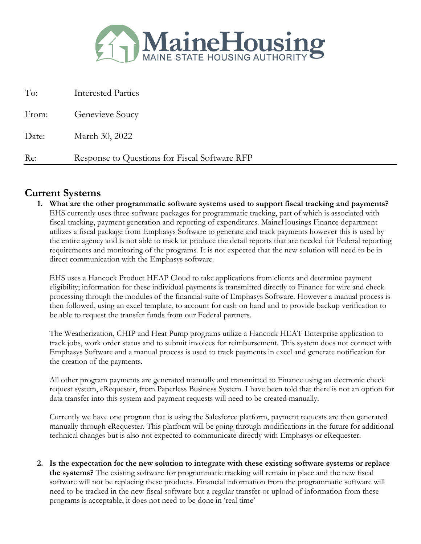

| To:   | <b>Interested Parties</b>                     |
|-------|-----------------------------------------------|
| From: | Genevieve Soucy                               |
| Date: | March 30, 2022                                |
| Re:   | Response to Questions for Fiscal Software RFP |

#### **Current Systems**

**1. What are the other programmatic software systems used to support fiscal tracking and payments?** EHS currently uses three software packages for programmatic tracking, part of which is associated with fiscal tracking, payment generation and reporting of expenditures. MaineHousings Finance department utilizes a fiscal package from Emphasys Software to generate and track payments however this is used by the entire agency and is not able to track or produce the detail reports that are needed for Federal reporting requirements and monitoring of the programs. It is not expected that the new solution will need to be in direct communication with the Emphasys software.

EHS uses a Hancock Product HEAP Cloud to take applications from clients and determine payment eligibility; information for these individual payments is transmitted directly to Finance for wire and check processing through the modules of the financial suite of Emphasys Software. However a manual process is then followed, using an excel template, to account for cash on hand and to provide backup verification to be able to request the transfer funds from our Federal partners.

The Weatherization, CHIP and Heat Pump programs utilize a Hancock HEAT Enterprise application to track jobs, work order status and to submit invoices for reimbursement. This system does not connect with Emphasys Software and a manual process is used to track payments in excel and generate notification for the creation of the payments.

All other program payments are generated manually and transmitted to Finance using an electronic check request system, eRequester, from Paperless Business System. I have been told that there is not an option for data transfer into this system and payment requests will need to be created manually.

Currently we have one program that is using the Salesforce platform, payment requests are then generated manually through eRequester. This platform will be going through modifications in the future for additional technical changes but is also not expected to communicate directly with Emphasys or eRequester.

**2. Is the expectation for the new solution to integrate with these existing software systems or replace the systems?** The existing software for programmatic tracking will remain in place and the new fiscal software will not be replacing these products. Financial information from the programmatic software will need to be tracked in the new fiscal software but a regular transfer or upload of information from these programs is acceptable, it does not need to be done in 'real time'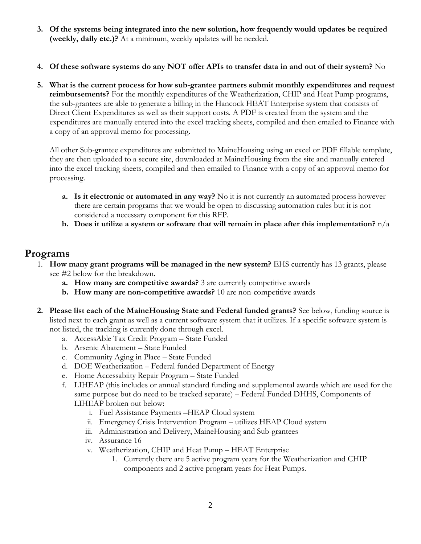- **3. Of the systems being integrated into the new solution, how frequently would updates be required (weekly, daily etc.)?** At a minimum, weekly updates will be needed.
- **4. Of these software systems do any NOT offer APIs to transfer data in and out of their system?** No
- **5. What is the current process for how sub-grantee partners submit monthly expenditures and request reimbursements?** For the monthly expenditures of the Weatherization, CHIP and Heat Pump programs, the sub-grantees are able to generate a billing in the Hancock HEAT Enterprise system that consists of Direct Client Expenditures as well as their support costs. A PDF is created from the system and the expenditures are manually entered into the excel tracking sheets, compiled and then emailed to Finance with a copy of an approval memo for processing.

All other Sub-grantee expenditures are submitted to MaineHousing using an excel or PDF fillable template, they are then uploaded to a secure site, downloaded at MaineHousing from the site and manually entered into the excel tracking sheets, compiled and then emailed to Finance with a copy of an approval memo for processing.

- **a. Is it electronic or automated in any way?** No it is not currently an automated process however there are certain programs that we would be open to discussing automation rules but it is not considered a necessary component for this RFP.
- **b.** Does it utilize a system or software that will remain in place after this implementation?  $n/a$

### **Programs**

- 1. **How many grant programs will be managed in the new system?** EHS currently has 13 grants, please see #2 below for the breakdown.
	- **a. How many are competitive awards?** 3 are currently competitive awards
	- **b. How many are non-competitive awards?** 10 are non-competitive awards
- **2. Please list each of the MaineHousing State and Federal funded grants?** See below, funding source is listed next to each grant as well as a current software system that it utilizes. If a specific software system is not listed, the tracking is currently done through excel.
	- a. AccessAble Tax Credit Program State Funded
	- b. Arsenic Abatement State Funded
	- c. Community Aging in Place State Funded
	- d. DOE Weatherization Federal funded Department of Energy
	- e. Home Accessabiity Repair Program State Funded
	- f. LIHEAP (this includes or annual standard funding and supplemental awards which are used for the same purpose but do need to be tracked separate) – Federal Funded DHHS, Components of LIHEAP broken out below:
		- i. Fuel Assistance Payments –HEAP Cloud system
		- ii. Emergency Crisis Intervention Program utilizes HEAP Cloud system
		- iii. Administration and Delivery, MaineHousing and Sub-grantees
		- iv. Assurance 16
		- v. Weatherization, CHIP and Heat Pump HEAT Enterprise
			- 1. Currently there are 5 active program years for the Weatherization and CHIP components and 2 active program years for Heat Pumps.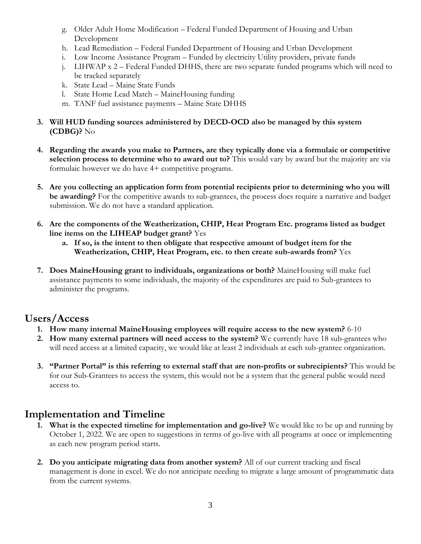- g. Older Adult Home Modification Federal Funded Department of Housing and Urban Development
- h. Lead Remediation Federal Funded Department of Housing and Urban Development
- i. Low Income Assistance Program Funded by electricity Utility providers, private funds
- j. LIHWAP x 2 Federal Funded DHHS, there are two separate funded programs which will need to be tracked separately
- k. State Lead Maine State Funds
- l. State Home Lead Match MaineHousing funding
- m. TANF fuel assistance payments Maine State DHHS
- **3. Will HUD funding sources administered by DECD-OCD also be managed by this system (CDBG)?** No
- **4. Regarding the awards you make to Partners, are they typically done via a formulaic or competitive selection process to determine who to award out to?** This would vary by award but the majority are via formulaic however we do have 4+ competitive programs.
- **5. Are you collecting an application form from potential recipients prior to determining who you will be awarding?** For the competitive awards to sub-grantees, the process does require a narrative and budget submission. We do not have a standard application.
- **6. Are the components of the Weatherization, CHIP, Heat Program Etc. programs listed as budget line items on the LIHEAP budget grant?** Yes
	- **a. If so, is the intent to then obligate that respective amount of budget item for the Weatherization, CHIP, Heat Program, etc. to then create sub-awards from?** Yes
- **7. Does MaineHousing grant to individuals, organizations or both?** MaineHousing will make fuel assistance payments to some individuals, the majority of the expenditures are paid to Sub-grantees to administer the programs.

## **Users/Access**

- **1. How many internal MaineHousing employees will require access to the new system?** 6-10
- **2. How many external partners will need access to the system?** We currently have 18 sub-grantees who will need access at a limited capacity, we would like at least 2 individuals at each sub-grantee organization.
- **3. "Partner Portal" is this referring to external staff that are non-profits or subrecipients?** This would be for our Sub-Grantees to access the system, this would not be a system that the general public would need access to.

# **Implementation and Timeline**

- **1. What is the expected timeline for implementation and go-live?** We would like to be up and running by October 1, 2022. We are open to suggestions in terms of go-live with all programs at once or implementing as each new program period starts.
- **2. Do you anticipate migrating data from another system?** All of our current tracking and fiscal management is done in excel. We do not anticipate needing to migrate a large amount of programmatic data from the current systems.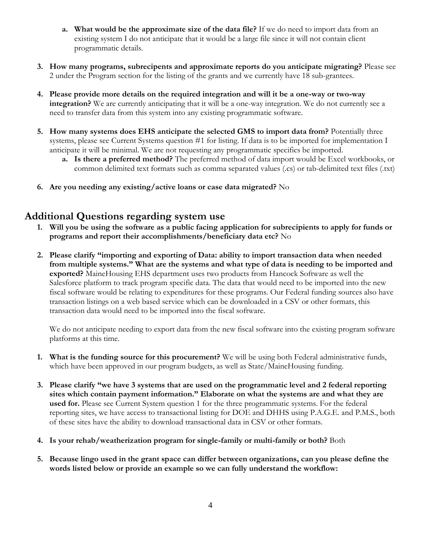- **a. What would be the approximate size of the data file?** If we do need to import data from an existing system I do not anticipate that it would be a large file since it will not contain client programmatic details.
- **3. How many programs, subrecipents and approximate reports do you anticipate migrating?** Please see 2 under the Program section for the listing of the grants and we currently have 18 sub-grantees.
- **4. Please provide more details on the required integration and will it be a one-way or two-way integration?** We are currently anticipating that it will be a one-way integration. We do not currently see a need to transfer data from this system into any existing programmatic software.
- **5. How many systems does EHS anticipate the selected GMS to import data from?** Potentially three systems, please see Current Systems question #1 for listing. If data is to be imported for implementation I anticipate it will be minimal. We are not requesting any programmatic specifics be imported.
	- **a. Is there a preferred method?** The preferred method of data import would be Excel workbooks, or common delimited text formats such as comma separated values (.cs) or tab-delimited text files (.txt)
- **6. Are you needing any existing/active loans or case data migrated?** No

### **Additional Questions regarding system use**

- **1. Will you be using the software as a public facing application for subrecipients to apply for funds or programs and report their accomplishments/beneficiary data etc?** No
- **2. Please clarify "importing and exporting of Data: ability to import transaction data when needed from multiple systems." What are the systems and what type of data is needing to be imported and exported?** MaineHousing EHS department uses two products from Hancock Software as well the Salesforce platform to track program specific data. The data that would need to be imported into the new fiscal software would be relating to expenditures for these programs. Our Federal funding sources also have transaction listings on a web based service which can be downloaded in a CSV or other formats, this transaction data would need to be imported into the fiscal software.

We do not anticipate needing to export data from the new fiscal software into the existing program software platforms at this time.

- **1. What is the funding source for this procurement?** We will be using both Federal administrative funds, which have been approved in our program budgets, as well as State/MaineHousing funding.
- **3. Please clarify "we have 3 systems that are used on the programmatic level and 2 federal reporting sites which contain payment information." Elaborate on what the systems are and what they are used for.** Please see Current System question 1 for the three programmatic systems. For the federal reporting sites, we have access to transactional listing for DOE and DHHS using P.A.G.E. and P.M.S., both of these sites have the ability to download transactional data in CSV or other formats.
- **4. Is your rehab/weatherization program for single-family or multi-family or both?** Both
- **5. Because lingo used in the grant space can differ between organizations, can you please define the words listed below or provide an example so we can fully understand the workflow:**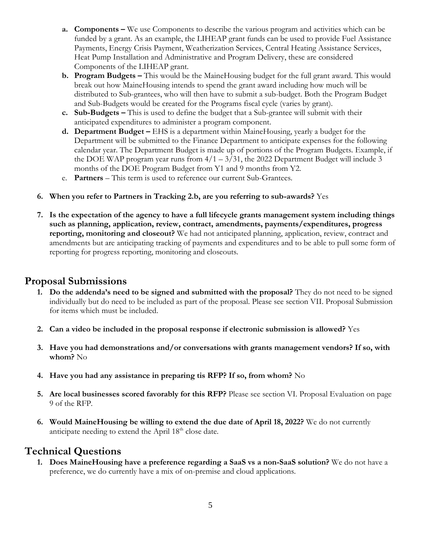- **a. Components –** We use Components to describe the various program and activities which can be funded by a grant. As an example, the LIHEAP grant funds can be used to provide Fuel Assistance Payments, Energy Crisis Payment, Weatherization Services, Central Heating Assistance Services, Heat Pump Installation and Administrative and Program Delivery, these are considered Components of the LIHEAP grant.
- **b. Program Budgets –** This would be the MaineHousing budget for the full grant award. This would break out how MaineHousing intends to spend the grant award including how much will be distributed to Sub-grantees, who will then have to submit a sub-budget. Both the Program Budget and Sub-Budgets would be created for the Programs fiscal cycle (varies by grant).
- **c. Sub-Budgets –** This is used to define the budget that a Sub-grantee will submit with their anticipated expenditures to administer a program component.
- **d. Department Budget –** EHS is a department within MaineHousing, yearly a budget for the Department will be submitted to the Finance Department to anticipate expenses for the following calendar year. The Department Budget is made up of portions of the Program Budgets. Example, if the DOE WAP program year runs from  $4/1 - 3/31$ , the 2022 Department Budget will include 3 months of the DOE Program Budget from Y1 and 9 months from Y2.
- e. **Partners** This term is used to reference our current Sub-Grantees.
- **6. When you refer to Partners in Tracking 2.b, are you referring to sub-awards?** Yes
- **7. Is the expectation of the agency to have a full lifecycle grants management system including things such as planning, application, review, contract, amendments, payments/expenditures, progress reporting, monitoring and closeout?** We had not anticipated planning, application, review, contract and amendments but are anticipating tracking of payments and expenditures and to be able to pull some form of reporting for progress reporting, monitoring and closeouts.

### **Proposal Submissions**

- **1. Do the addenda's need to be signed and submitted with the proposal?** They do not need to be signed individually but do need to be included as part of the proposal. Please see section VII. Proposal Submission for items which must be included.
- **2. Can a video be included in the proposal response if electronic submission is allowed?** Yes
- **3. Have you had demonstrations and/or conversations with grants management vendors? If so, with whom?** No
- **4. Have you had any assistance in preparing tis RFP? If so, from whom?** No
- **5. Are local businesses scored favorably for this RFP?** Please see section VI. Proposal Evaluation on page 9 of the RFP.
- **6. Would MaineHousing be willing to extend the due date of April 18, 2022?** We do not currently anticipate needing to extend the April 18<sup>th</sup> close date.

### **Technical Questions**

**1. Does MaineHousing have a preference regarding a SaaS vs a non-SaaS solution?** We do not have a preference, we do currently have a mix of on-premise and cloud applications.